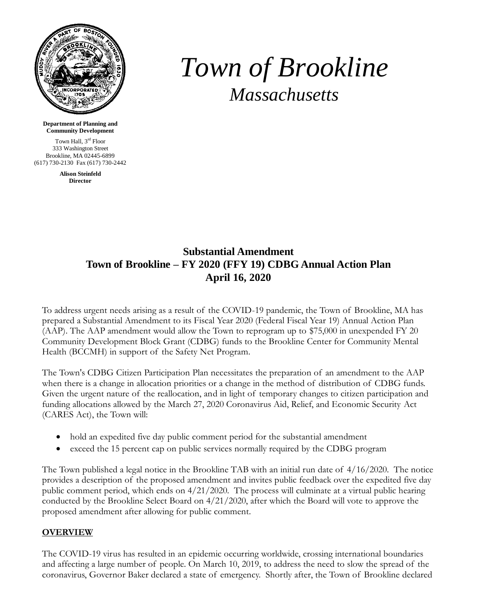

## *Town of Brookline Massachusetts*

**Department of Planning and Community Development**

Town Hall, 3<sup>rd</sup> Floor 333 Washington Street Brookline, MA 02445-6899 (617) 730-2130 Fax (617) 730-2442

> **Alison Steinfeld Director**

## **Substantial Amendment Town of Brookline – FY 2020 (FFY 19) CDBG Annual Action Plan April 16, 2020**

To address urgent needs arising as a result of the COVID-19 pandemic, the Town of Brookline, MA has prepared a Substantial Amendment to its Fiscal Year 2020 (Federal Fiscal Year 19) Annual Action Plan (AAP). The AAP amendment would allow the Town to reprogram up to \$75,000 in unexpended FY 20 Community Development Block Grant (CDBG) funds to the Brookline Center for Community Mental Health (BCCMH) in support of the Safety Net Program.

The Town's CDBG Citizen Participation Plan necessitates the preparation of an amendment to the AAP when there is a change in allocation priorities or a change in the method of distribution of CDBG funds. Given the urgent nature of the reallocation, and in light of temporary changes to citizen participation and funding allocations allowed by the March 27, 2020 Coronavirus Aid, Relief, and Economic Security Act (CARES Act), the Town will:

- hold an expedited five day public comment period for the substantial amendment
- exceed the 15 percent cap on public services normally required by the CDBG program

The Town published a legal notice in the Brookline TAB with an initial run date of 4/16/2020. The notice provides a description of the proposed amendment and invites public feedback over the expedited five day public comment period, which ends on 4/21/2020. The process will culminate at a virtual public hearing conducted by the Brookline Select Board on 4/21/2020, after which the Board will vote to approve the proposed amendment after allowing for public comment.

## **OVERVIEW**

The COVID-19 virus has resulted in an epidemic occurring worldwide, crossing international boundaries and affecting a large number of people. On March 10, 2019, to address the need to slow the spread of the coronavirus, Governor Baker declared a state of emergency. Shortly after, the Town of Brookline declared